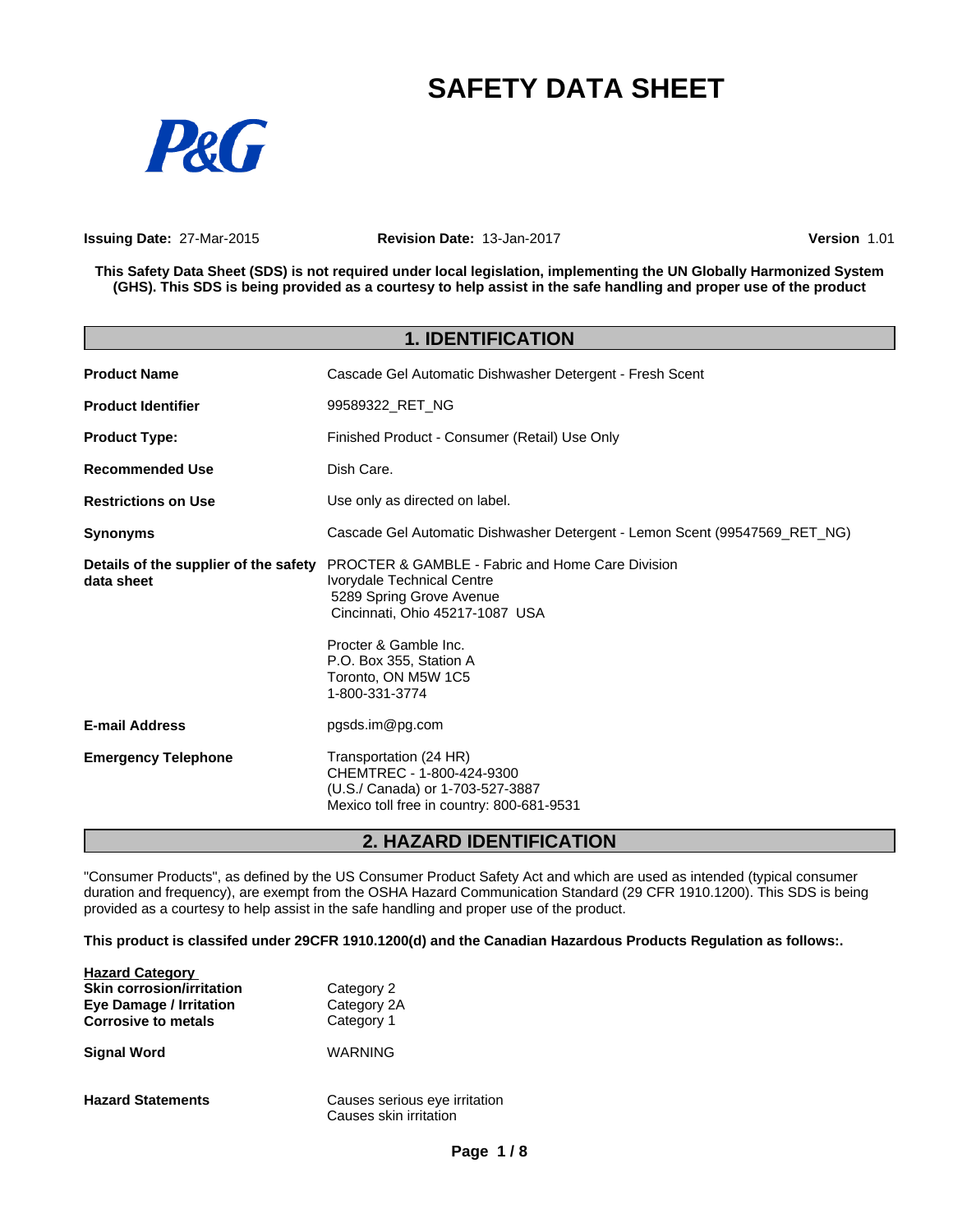# **SAFETY DATA SHEET**



**Issuing Date:** 27-Mar-2015 **Revision Date:** 13-Jan-2017 **Version** 1.01

This Safety Data Sheet (SDS) is not required under local legislation, implementing the UN Globally Harmonized System (GHS). This SDS is being provided as a courtesy to help assist in the safe handling and proper use of the product

|                                                     | <b>1. IDENTIFICATION</b>                                                                                                                                                          |  |
|-----------------------------------------------------|-----------------------------------------------------------------------------------------------------------------------------------------------------------------------------------|--|
| <b>Product Name</b>                                 | Cascade Gel Automatic Dishwasher Detergent - Fresh Scent                                                                                                                          |  |
| <b>Product Identifier</b>                           | 99589322 RET NG                                                                                                                                                                   |  |
| <b>Product Type:</b>                                | Finished Product - Consumer (Retail) Use Only                                                                                                                                     |  |
| <b>Recommended Use</b>                              | Dish Care.                                                                                                                                                                        |  |
| <b>Restrictions on Use</b>                          | Use only as directed on label.                                                                                                                                                    |  |
| <b>Synonyms</b>                                     | Cascade Gel Automatic Dishwasher Detergent - Lemon Scent (99547569 RET NG)                                                                                                        |  |
| Details of the supplier of the safety<br>data sheet | <b>PROCTER &amp; GAMBLE - Fabric and Home Care Division</b><br>Ivorydale Technical Centre<br>5289 Spring Grove Avenue<br>Cincinnati, Ohio 45217-1087 USA<br>Procter & Gamble Inc. |  |
|                                                     | P.O. Box 355, Station A<br>Toronto, ON M5W 1C5<br>1-800-331-3774                                                                                                                  |  |
| <b>E-mail Address</b>                               | pgsds.im@pg.com                                                                                                                                                                   |  |
| <b>Emergency Telephone</b>                          | Transportation (24 HR)<br>CHEMTREC - 1-800-424-9300<br>(U.S./ Canada) or 1-703-527-3887<br>Mexico toll free in country: 800-681-9531                                              |  |

# **2. HAZARD IDENTIFICATION**

"Consumer Products", as defined by the US Consumer Product Safety Act and which are used as intended (typical consumer duration and frequency), are exempt from the OSHA Hazard Communication Standard (29 CFR 1910.1200). This SDS is being provided as a courtesy to help assist in the safe handling and proper use of the product.

**This product is classifed under 29CFR 1910.1200(d) and the Canadian Hazardous Products Regulation as follows:.**

| <b>Hazard Category</b><br><b>Skin corrosion/irritation</b><br><b>Eye Damage / Irritation</b><br><b>Corrosive to metals</b> | Category 2<br>Category 2A<br>Category 1                 |
|----------------------------------------------------------------------------------------------------------------------------|---------------------------------------------------------|
| <b>Signal Word</b>                                                                                                         | WARNING                                                 |
| <b>Hazard Statements</b>                                                                                                   | Causes serious eye irritation<br>Causes skin irritation |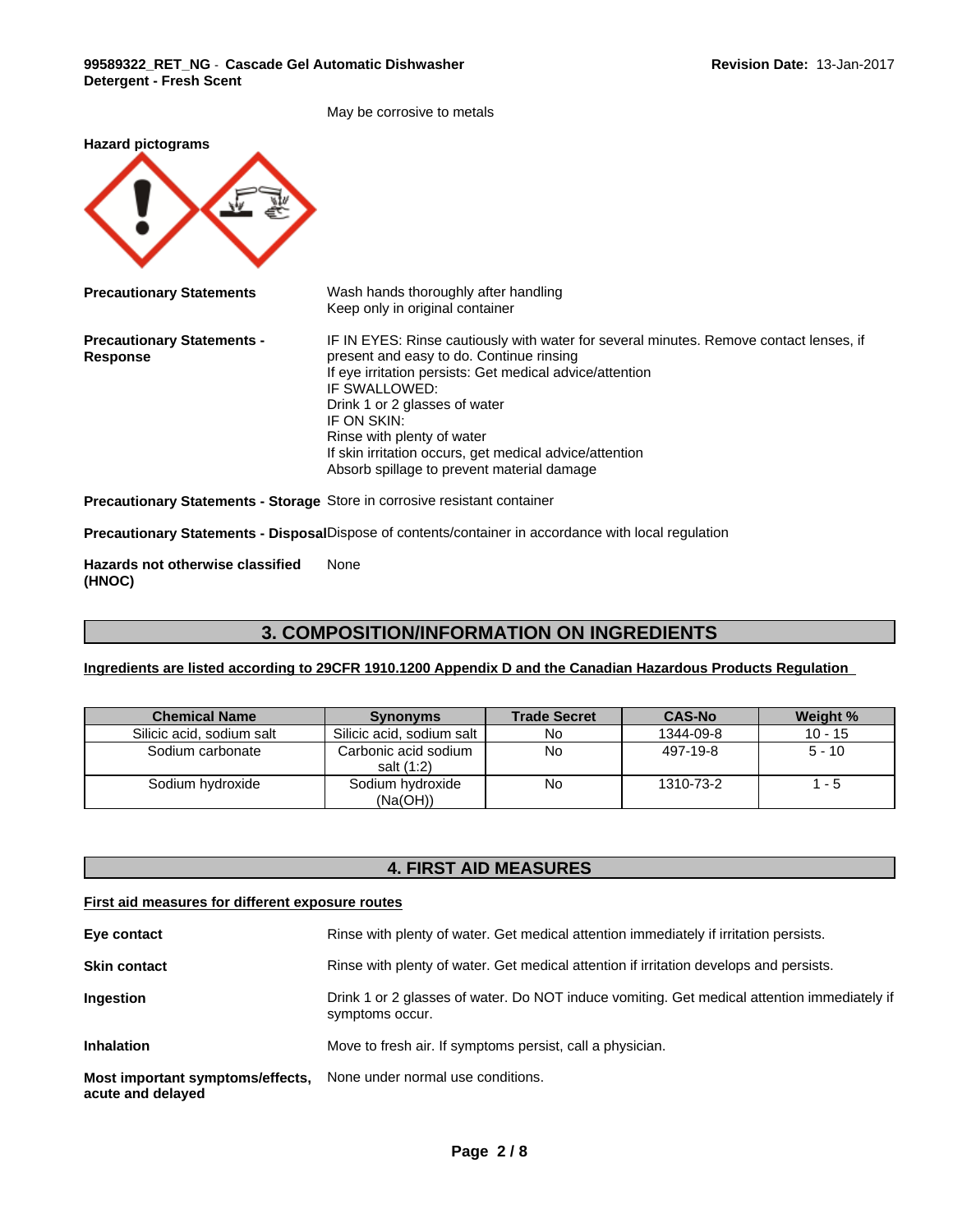May be corrosive to metals

| <b>Hazard pictograms</b>                             |                                                                                                                                                                                                                                                                                                                                                                                                        |
|------------------------------------------------------|--------------------------------------------------------------------------------------------------------------------------------------------------------------------------------------------------------------------------------------------------------------------------------------------------------------------------------------------------------------------------------------------------------|
| <b>Precautionary Statements</b>                      | Wash hands thoroughly after handling<br>Keep only in original container                                                                                                                                                                                                                                                                                                                                |
| <b>Precautionary Statements -</b><br><b>Response</b> | IF IN EYES: Rinse cautiously with water for several minutes. Remove contact lenses, if<br>present and easy to do. Continue rinsing<br>If eye irritation persists: Get medical advice/attention<br>IF SWALLOWED:<br>Drink 1 or 2 glasses of water<br>IF ON SKIN:<br>Rinse with plenty of water<br>If skin irritation occurs, get medical advice/attention<br>Absorb spillage to prevent material damage |
|                                                      | <b>Precautionary Statements - Storage Store in corrosive resistant container</b>                                                                                                                                                                                                                                                                                                                       |
|                                                      | <b>Precautionary Statements - Disposal</b> Dispose of contents/container in accordance with local regulation                                                                                                                                                                                                                                                                                           |

**Hazards not otherwise classified (HNOC)** None

# **3. COMPOSITION/INFORMATION ON INGREDIENTS**

# **Ingredients are listed according to 29CFR 1910.1200 Appendix D and the Canadian Hazardous Products Regulation**

| <b>Chemical Name</b>      | <b>Synonyms</b>                    | <b>Trade Secret</b> | <b>CAS-No</b> | Weight %  |
|---------------------------|------------------------------------|---------------------|---------------|-----------|
| Silicic acid, sodium salt | Silicic acid, sodium salt          | <b>No</b>           | 1344-09-8     | $10 - 15$ |
| Sodium carbonate          | Carbonic acid sodium<br>salt (1:2) | No                  | 497-19-8      | $5 - 10$  |
| Sodium hvdroxide          | Sodium hydroxide<br>(Na(OH))       | No                  | 1310-73-2     | - 5       |

# **4. FIRST AID MEASURES**

# **First aid measures for different exposure routes**

| Eye contact                                           | Rinse with plenty of water. Get medical attention immediately if irritation persists.                          |
|-------------------------------------------------------|----------------------------------------------------------------------------------------------------------------|
| <b>Skin contact</b>                                   | Rinse with plenty of water. Get medical attention if irritation develops and persists.                         |
| Ingestion                                             | Drink 1 or 2 glasses of water. Do NOT induce vomiting. Get medical attention immediately if<br>symptoms occur. |
| <b>Inhalation</b>                                     | Move to fresh air. If symptoms persist, call a physician.                                                      |
| Most important symptoms/effects,<br>acute and delayed | None under normal use conditions.                                                                              |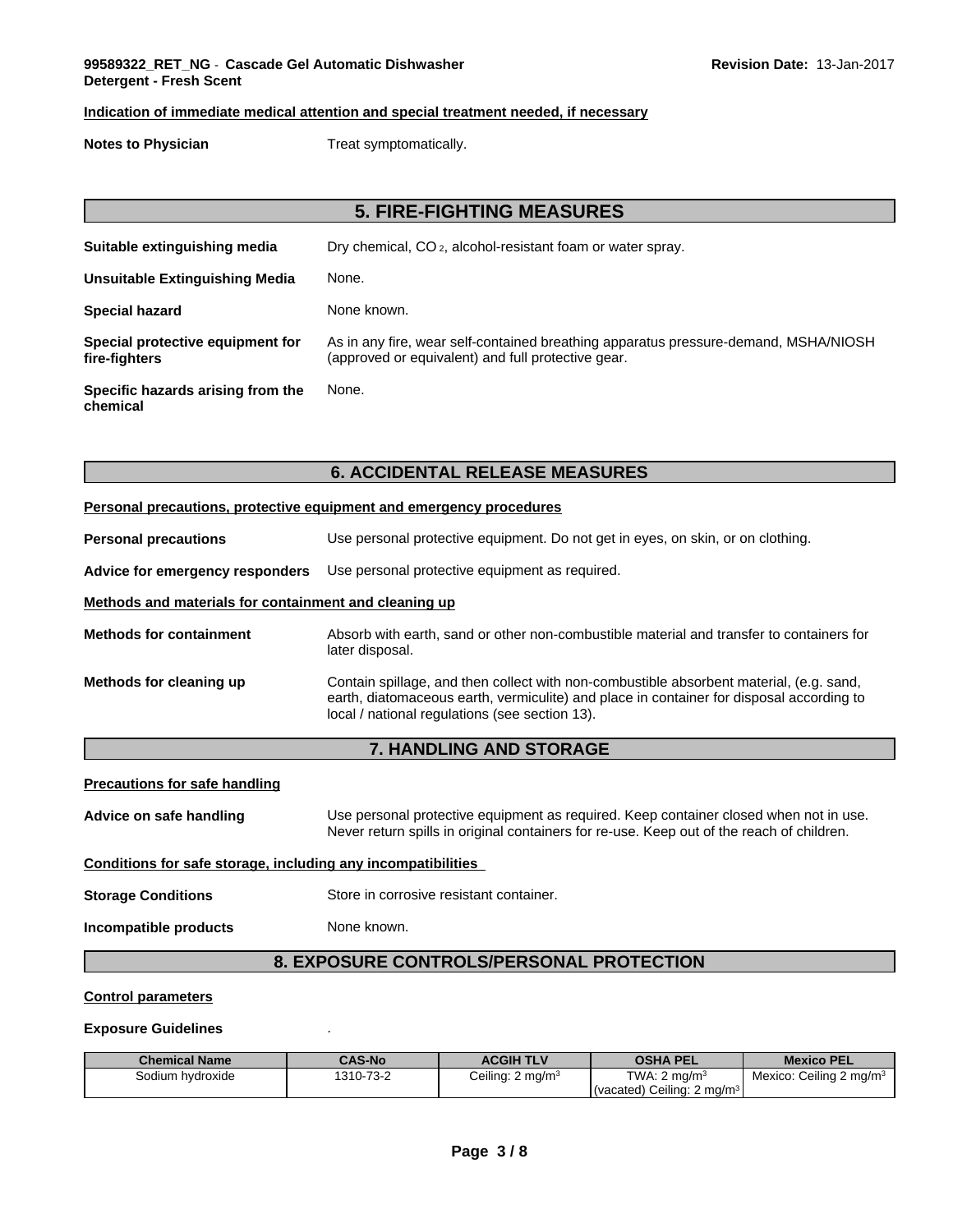### **Indication of immediate medical attention and special treatment needed, if necessary**

**Notes to Physician** Treat symptomatically.

# **5. FIRE-FIGHTING MEASURES**

| Suitable extinguishing media                      | Dry chemical, CO <sub>2</sub> , alcohol-resistant foam or water spray.                                                                    |
|---------------------------------------------------|-------------------------------------------------------------------------------------------------------------------------------------------|
| <b>Unsuitable Extinguishing Media</b>             | None.                                                                                                                                     |
| <b>Special hazard</b>                             | None known.                                                                                                                               |
| Special protective equipment for<br>fire-fighters | As in any fire, wear self-contained breathing apparatus pressure-demand, MSHA/NIOSH<br>(approved or equivalent) and full protective gear. |
| Specific hazards arising from the<br>chemical     | None.                                                                                                                                     |

# **6. ACCIDENTAL RELEASE MEASURES**

|                                                       | Personal precautions, protective equipment and emergency procedures                                                                                                                                                                   |  |  |
|-------------------------------------------------------|---------------------------------------------------------------------------------------------------------------------------------------------------------------------------------------------------------------------------------------|--|--|
| <b>Personal precautions</b>                           | Use personal protective equipment. Do not get in eyes, on skin, or on clothing.                                                                                                                                                       |  |  |
| Advice for emergency responders                       | Use personal protective equipment as required.                                                                                                                                                                                        |  |  |
| Methods and materials for containment and cleaning up |                                                                                                                                                                                                                                       |  |  |
| <b>Methods for containment</b>                        | Absorb with earth, sand or other non-combustible material and transfer to containers for<br>later disposal.                                                                                                                           |  |  |
| Methods for cleaning up                               | Contain spillage, and then collect with non-combustible absorbent material, (e.g. sand,<br>earth, diatomaceous earth, vermiculite) and place in container for disposal according to<br>local / national regulations (see section 13). |  |  |

# **7. HANDLING AND STORAGE**

### **Precautions for safe handling**

**Advice on safe handling** Use personal protective equipment as required.Keep container closed when not in use. Never return spills in original containers for re-use. Keep out of the reach of children. **Conditions for safe storage, including any incompatibilities Storage Conditions** Store in corrosive resistant container. **Incompatible products** None known.

# **8. EXPOSURE CONTROLS/PERSONAL PROTECTION**

### **Control parameters**

### **Exposure Guidelines** .

| <b>Chemical Name</b> | <b>CAS-No</b> | <b>ACGIH TLV</b>            | OSHA PEL                               | <b>Mexico PEL</b>                        |
|----------------------|---------------|-----------------------------|----------------------------------------|------------------------------------------|
| Sodium hydroxide     | 1310-73-2     | Ceiling: $2 \text{ mg/m}^3$ | TWA: $2 \text{ ma/m}^3$                | : Ceiling 2 mg/m <sup>3</sup><br>Mexico: |
|                      |               |                             | (vacated) Ceiling: 2 mg/m <sup>3</sup> |                                          |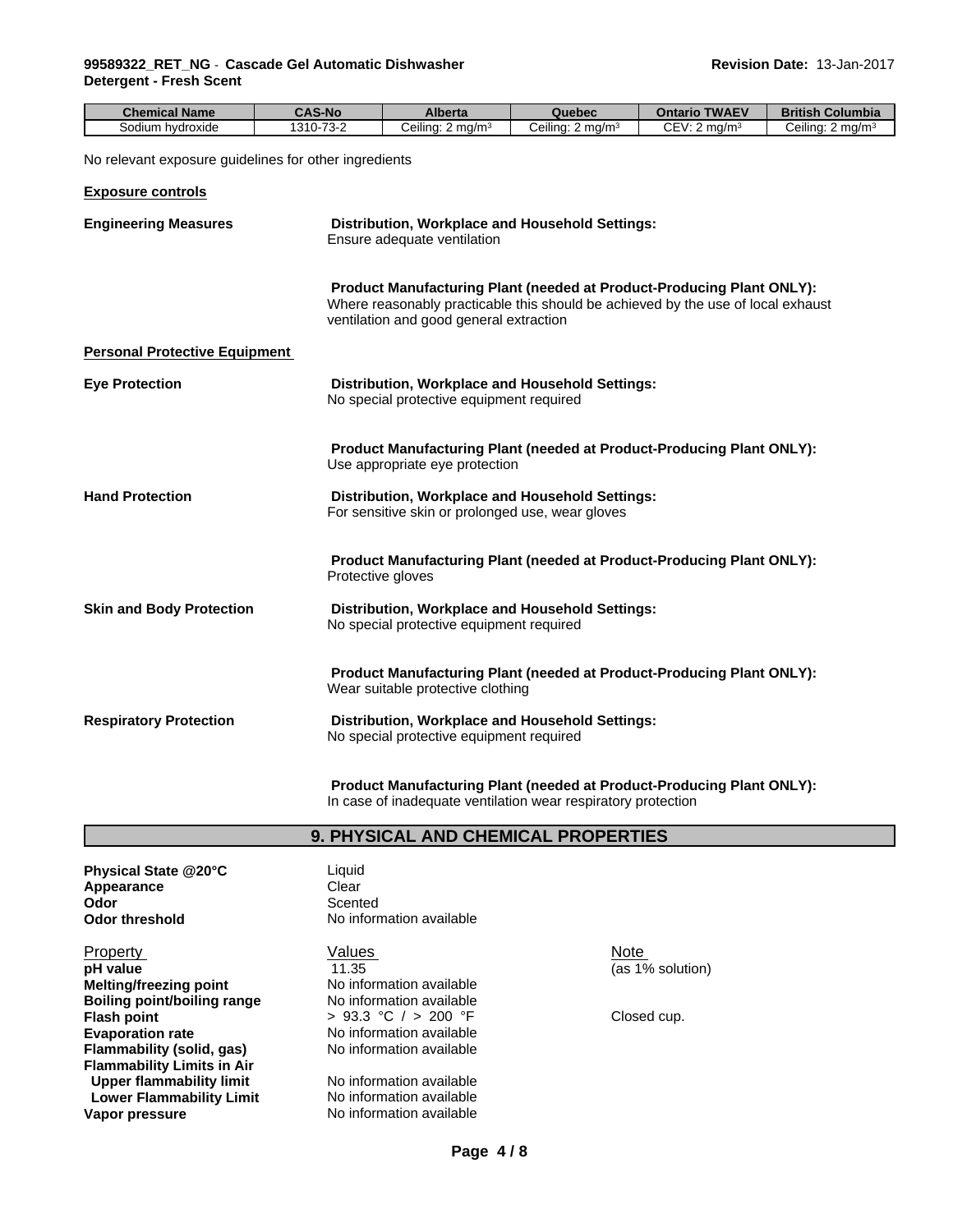#### **99589322\_RET\_NG** - **Cascade Gel Automatic Dishwasher Detergent - Fresh Scent**

| <b>Chemical Name</b>                                  | <b>CAS-No</b> | <b>Alberta</b>                                   | Quebec                                                                                                                                                           | <b>Ontario TWAEV</b>    | <b>British Columbia</b>      |
|-------------------------------------------------------|---------------|--------------------------------------------------|------------------------------------------------------------------------------------------------------------------------------------------------------------------|-------------------------|------------------------------|
| Sodium hydroxide                                      | 1310-73-2     | Ceiling: 2 mg/m <sup>3</sup>                     | Ceiling: 2 mg/m <sup>3</sup>                                                                                                                                     | CEV: $2 \text{ mg/m}^3$ | Ceiling: 2 mg/m <sup>3</sup> |
| No relevant exposure guidelines for other ingredients |               |                                                  |                                                                                                                                                                  |                         |                              |
| <b>Exposure controls</b>                              |               |                                                  |                                                                                                                                                                  |                         |                              |
| <b>Engineering Measures</b>                           |               | Ensure adequate ventilation                      | Distribution, Workplace and Household Settings:                                                                                                                  |                         |                              |
|                                                       |               | ventilation and good general extraction          | <b>Product Manufacturing Plant (needed at Product-Producing Plant ONLY):</b><br>Where reasonably practicable this should be achieved by the use of local exhaust |                         |                              |
| <b>Personal Protective Equipment</b>                  |               |                                                  |                                                                                                                                                                  |                         |                              |
| <b>Eye Protection</b>                                 |               | No special protective equipment required         | Distribution, Workplace and Household Settings:                                                                                                                  |                         |                              |
|                                                       |               | Use appropriate eye protection                   | <b>Product Manufacturing Plant (needed at Product-Producing Plant ONLY):</b>                                                                                     |                         |                              |
| <b>Hand Protection</b>                                |               | For sensitive skin or prolonged use, wear gloves | Distribution, Workplace and Household Settings:                                                                                                                  |                         |                              |
|                                                       |               | Protective gloves                                | Product Manufacturing Plant (needed at Product-Producing Plant ONLY):                                                                                            |                         |                              |
| <b>Skin and Body Protection</b>                       |               | No special protective equipment required         | Distribution, Workplace and Household Settings:                                                                                                                  |                         |                              |
|                                                       |               | Wear suitable protective clothing                | <b>Product Manufacturing Plant (needed at Product-Producing Plant ONLY):</b>                                                                                     |                         |                              |
| <b>Respiratory Protection</b>                         |               | No special protective equipment required         | Distribution, Workplace and Household Settings:                                                                                                                  |                         |                              |
|                                                       |               |                                                  |                                                                                                                                                                  |                         |                              |

**Product Manufacturing Plant (needed at Product-Producing Plant ONLY):** In case of inadequate ventilation wear respiratory protection

# **9. PHYSICAL AND CHEMICAL PROPERTIES**

**Physical State @20°C** Liquid Appearance **Clear Odor** Scented

**Melting/freezing point No information available**<br> **Boiling point/boiling range No information available Boiling point/boiling range<br>Flash point Evaporation rate rate** No information available<br> **Flammability (solid. gas)** No information available **Flammability** (solid, gas) **Flammability Limits in Air Upper flammability limit** No information available<br> **Lower Flammability Limit** No information available **Lower Flammability Limit**<br>Vapor pressure

**Odor threshold** No information available

Property **Note** Network Values Note Note Note Note **pH** value  $\overline{11.35}$  (as 1% solution) > 93.3 °C / > 200 °F Closed cup.

**No information available**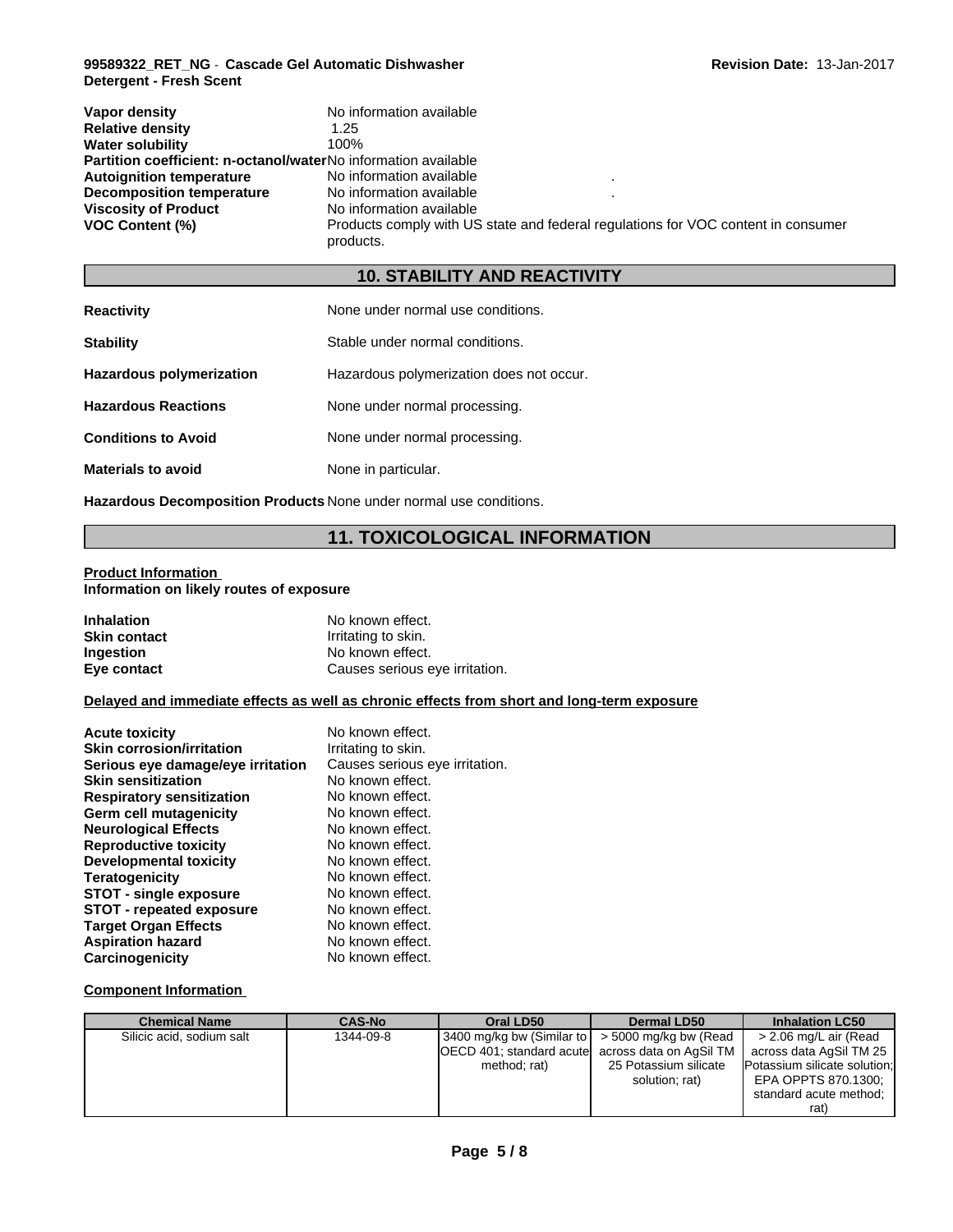#### **99589322\_RET\_NG** - **Cascade Gel Automatic Dishwasher Detergent - Fresh Scent**

| Vapor density                                                         | No information available                                                                       |
|-----------------------------------------------------------------------|------------------------------------------------------------------------------------------------|
| <b>Relative density</b>                                               | 1.25                                                                                           |
| <b>Water solubility</b>                                               | 100%                                                                                           |
| <b>Partition coefficient: n-octanol/waterNo information available</b> |                                                                                                |
| <b>Autoignition temperature</b>                                       | No information available                                                                       |
| Decomposition temperature                                             | No information available                                                                       |
| <b>Viscosity of Product</b>                                           | No information available                                                                       |
| <b>VOC Content (%)</b>                                                | Products comply with US state and federal regulations for VOC content in consumer<br>products. |

# **10. STABILITY AND REACTIVITY**

| <b>Reactivity</b>               | None under normal use conditions.        |
|---------------------------------|------------------------------------------|
| <b>Stability</b>                | Stable under normal conditions.          |
| <b>Hazardous polymerization</b> | Hazardous polymerization does not occur. |
| <b>Hazardous Reactions</b>      | None under normal processing.            |
| <b>Conditions to Avoid</b>      | None under normal processing.            |
| <b>Materials to avoid</b>       | None in particular.                      |

**Hazardous Decomposition Products** None under normal use conditions.

# **11. TOXICOLOGICAL INFORMATION**

# **Product Information**

**Information on likely routes of exposure**

| <b>Inhalation</b>   | No known effect.               |
|---------------------|--------------------------------|
| <b>Skin contact</b> | Irritating to skin.            |
| <b>Ingestion</b>    | No known effect.               |
| Eye contact         | Causes serious eye irritation. |

## **Delayed and immediate effects as well as chronic effects from short and long-term exposure**

| <b>Acute toxicity</b>             | No known effect.               |
|-----------------------------------|--------------------------------|
| <b>Skin corrosion/irritation</b>  | Irritating to skin.            |
| Serious eye damage/eye irritation | Causes serious eye irritation. |
| <b>Skin sensitization</b>         | No known effect.               |
| <b>Respiratory sensitization</b>  | No known effect.               |
| Germ cell mutagenicity            | No known effect.               |
| <b>Neurological Effects</b>       | No known effect.               |
| <b>Reproductive toxicity</b>      | No known effect.               |
| Developmental toxicity            | No known effect.               |
| <b>Teratogenicity</b>             | No known effect.               |
| STOT - single exposure            | No known effect.               |
| <b>STOT - repeated exposure</b>   | No known effect.               |
| <b>Target Organ Effects</b>       | No known effect.               |
| <b>Aspiration hazard</b>          | No known effect.               |
| Carcinogenicity                   | No known effect.               |

### **Component Information**

| <b>Chemical Name</b>      | <b>CAS-No</b> | Oral LD50                                            | <b>Dermal LD50</b>    | <b>Inhalation LC50</b>       |
|---------------------------|---------------|------------------------------------------------------|-----------------------|------------------------------|
| Silicic acid, sodium salt | 1344-09-8     | 3400 mg/kg bw (Similar to $\sim$ 5000 mg/kg bw (Read |                       | > 2.06 mg/L air (Read        |
|                           |               | OECD 401; standard acute across data on AgSil TM     |                       | across data AgSil TM 25      |
|                           |               | method; rat)                                         | 25 Potassium silicate | Potassium silicate solution; |
|                           |               |                                                      | solution; rat)        | EPA OPPTS 870.1300;          |
|                           |               |                                                      |                       | standard acute method;       |
|                           |               |                                                      |                       | rat`                         |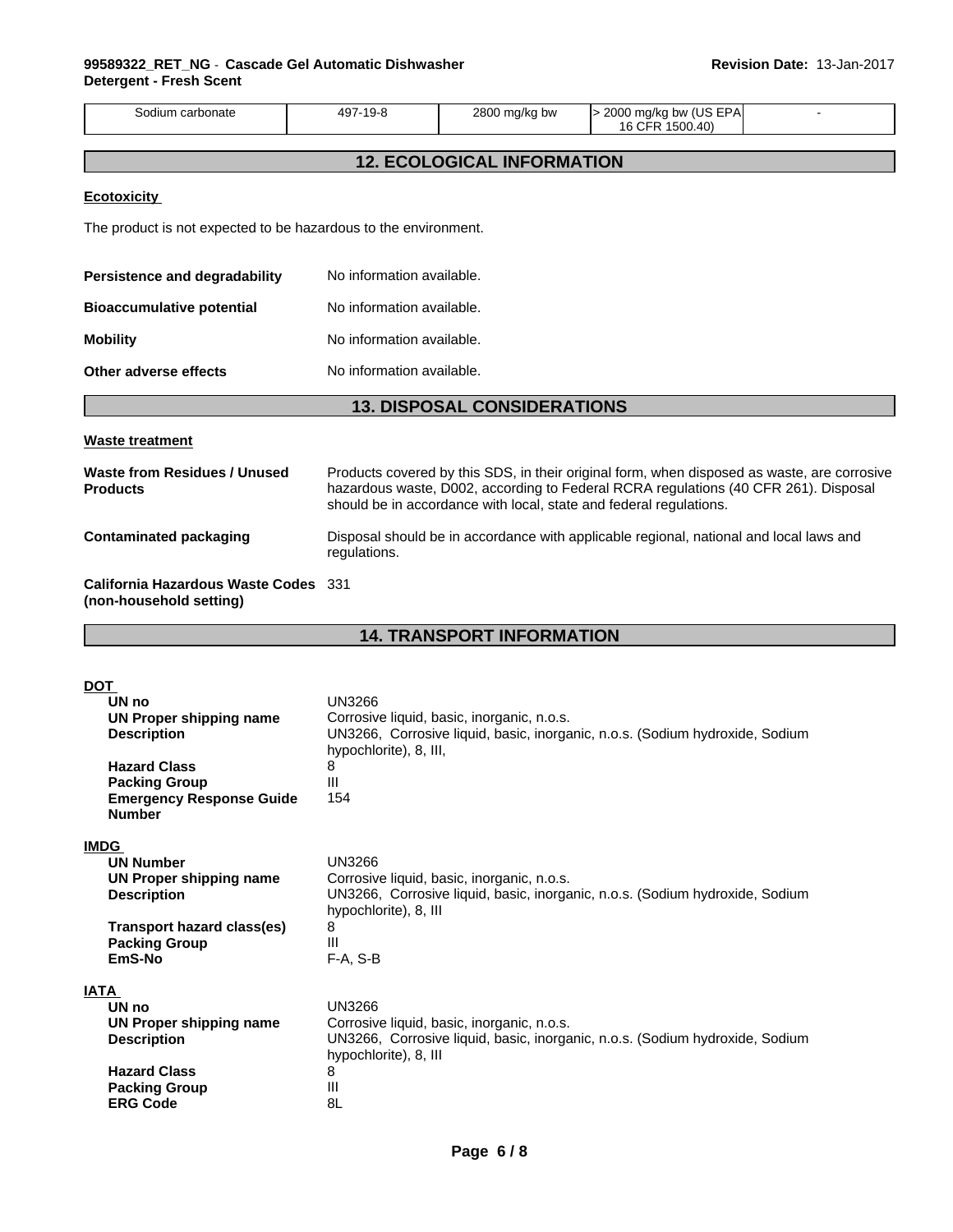| Sodium carbonate                                                                                                                                                               | 497-19-8<br>2800 mg/kg bw                                                                                                                                                                                                                                | > 2000 mg/kg bw (US EPA<br>16 CFR 1500.40)                                   |  |
|--------------------------------------------------------------------------------------------------------------------------------------------------------------------------------|----------------------------------------------------------------------------------------------------------------------------------------------------------------------------------------------------------------------------------------------------------|------------------------------------------------------------------------------|--|
|                                                                                                                                                                                | <b>12. ECOLOGICAL INFORMATION</b>                                                                                                                                                                                                                        |                                                                              |  |
| <b>Ecotoxicity</b>                                                                                                                                                             |                                                                                                                                                                                                                                                          |                                                                              |  |
| The product is not expected to be hazardous to the environment.                                                                                                                |                                                                                                                                                                                                                                                          |                                                                              |  |
| Persistence and degradability                                                                                                                                                  | No information available.                                                                                                                                                                                                                                |                                                                              |  |
| <b>Bioaccumulative potential</b>                                                                                                                                               | No information available.                                                                                                                                                                                                                                |                                                                              |  |
| <b>Mobility</b>                                                                                                                                                                | No information available.                                                                                                                                                                                                                                |                                                                              |  |
| Other adverse effects                                                                                                                                                          | No information available.                                                                                                                                                                                                                                |                                                                              |  |
|                                                                                                                                                                                | <b>13. DISPOSAL CONSIDERATIONS</b>                                                                                                                                                                                                                       |                                                                              |  |
|                                                                                                                                                                                |                                                                                                                                                                                                                                                          |                                                                              |  |
| <b>Waste treatment</b>                                                                                                                                                         |                                                                                                                                                                                                                                                          |                                                                              |  |
| <b>Waste from Residues / Unused</b><br><b>Products</b>                                                                                                                         | Products covered by this SDS, in their original form, when disposed as waste, are corrosive<br>hazardous waste, D002, according to Federal RCRA regulations (40 CFR 261). Disposal<br>should be in accordance with local, state and federal regulations. |                                                                              |  |
| <b>Contaminated packaging</b>                                                                                                                                                  | Disposal should be in accordance with applicable regional, national and local laws and<br>regulations.                                                                                                                                                   |                                                                              |  |
| <b>California Hazardous Waste Codes</b> 331<br>(non-household setting)                                                                                                         |                                                                                                                                                                                                                                                          |                                                                              |  |
|                                                                                                                                                                                | <b>14. TRANSPORT INFORMATION</b>                                                                                                                                                                                                                         |                                                                              |  |
|                                                                                                                                                                                |                                                                                                                                                                                                                                                          |                                                                              |  |
| <b>DOT</b><br>UN no<br><b>UN Proper shipping name</b><br><b>Description</b><br><b>Hazard Class</b><br><b>Packing Group</b><br><b>Emergency Response Guide</b><br><b>Number</b> | <b>UN3266</b><br>Corrosive liquid, basic, inorganic, n.o.s.<br>hypochlorite), 8, III,<br>8<br>Ш<br>154                                                                                                                                                   | UN3266, Corrosive liquid, basic, inorganic, n.o.s. (Sodium hydroxide, Sodium |  |
| <b>IMDG</b><br><b>UN Number</b><br><b>UN Proper shipping name</b><br><b>Description</b><br><b>Transport hazard class(es)</b><br><b>Packing Group</b><br>EmS-No                 | <b>UN3266</b><br>Corrosive liquid, basic, inorganic, n.o.s.<br>hypochlorite), 8, III<br>8<br>Ш<br>F-A, S-B                                                                                                                                               | UN3266, Corrosive liquid, basic, inorganic, n.o.s. (Sodium hydroxide, Sodium |  |
|                                                                                                                                                                                |                                                                                                                                                                                                                                                          |                                                                              |  |
|                                                                                                                                                                                |                                                                                                                                                                                                                                                          |                                                                              |  |
| <b>IATA</b><br>UN no<br><b>UN Proper shipping name</b><br><b>Description</b><br><b>Hazard Class</b>                                                                            | <b>UN3266</b><br>Corrosive liquid, basic, inorganic, n.o.s.<br>hypochlorite), 8, III<br>8                                                                                                                                                                | UN3266, Corrosive liquid, basic, inorganic, n.o.s. (Sodium hydroxide, Sodium |  |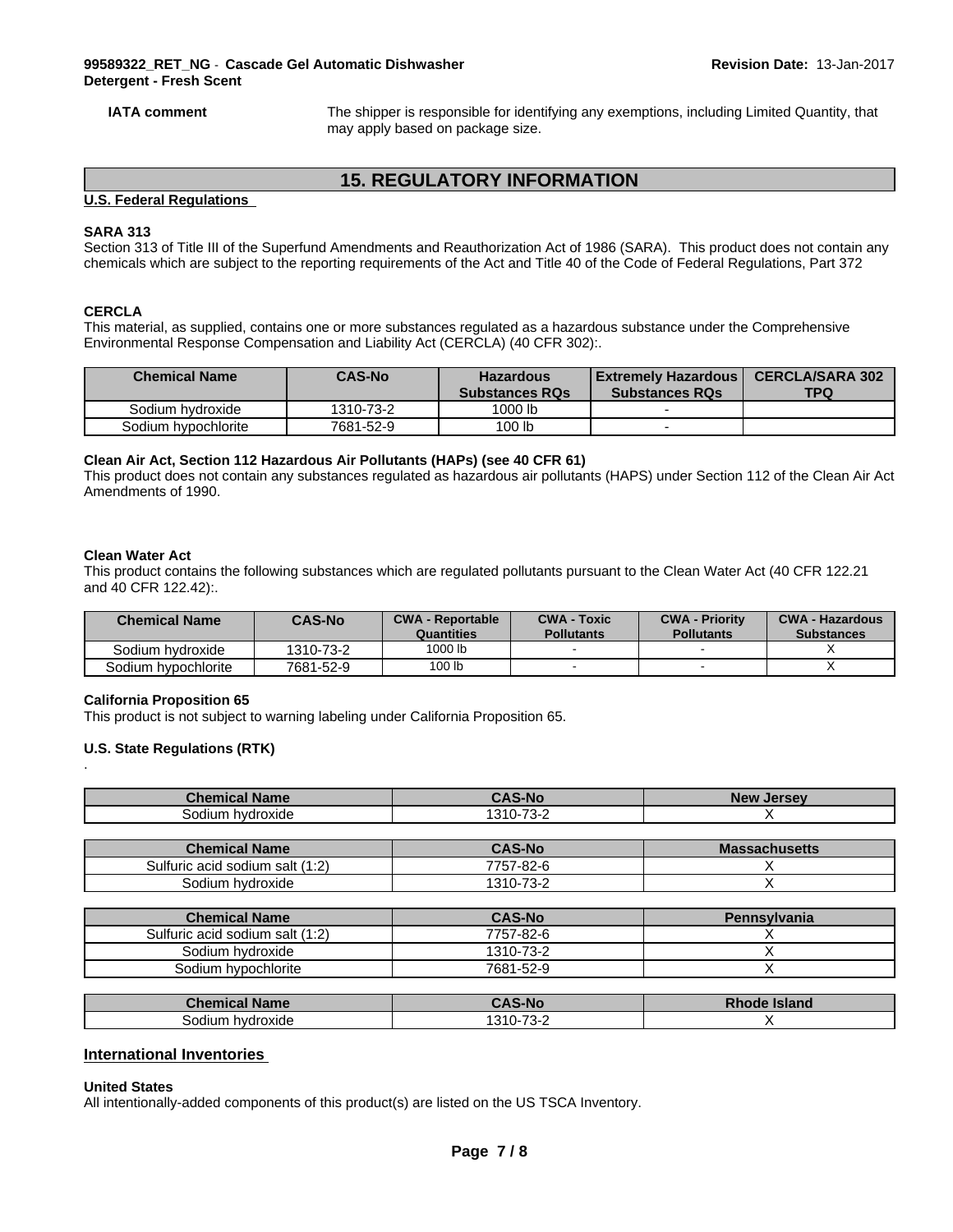**IATA comment** The shipper is responsible for identifying any exemptions, including Limited Quantity, that may apply based on package size.

# **15. REGULATORY INFORMATION**

#### **U.S. Federal Regulations**

#### **SARA 313**

Section 313 of Title III of the Superfund Amendments and Reauthorization Act of 1986 (SARA). This product does not contain any chemicals which are subject to the reporting requirements of the Act and Title 40 of the Code of Federal Regulations, Part 372

#### **CERCLA**

This material, as supplied, contains one or more substances regulated as a hazardous substance under the Comprehensive Environmental Response Compensation and Liability Act (CERCLA) (40 CFR 302):.

| <b>Chemical Name</b> | <b>CAS-No</b> | <b>Hazardous</b><br><b>Substances RQs</b> | Extremely Hazardous  <br><b>Substances RQs</b> | <b>CERCLA/SARA 302</b><br><b>TPQ</b> |
|----------------------|---------------|-------------------------------------------|------------------------------------------------|--------------------------------------|
| Sodium hydroxide     | 1310-73-2     | 1000 lb                                   |                                                |                                      |
| Sodium hypochlorite  | 7681-52-9     | 100 lb                                    |                                                |                                      |

#### **Clean Air Act,Section 112 Hazardous Air Pollutants (HAPs) (see 40 CFR 61)**

This product does not contain any substances regulated as hazardous air pollutants (HAPS) under Section 112 of the Clean Air Act Amendments of 1990.

#### **Clean Water Act**

.

This product contains the following substances which are regulated pollutants pursuant to the Clean Water Act (40 CFR 122.21 and 40 CFR 122.42):.

| <b>Chemical Name</b> | <b>CAS-No</b> | <b>CWA - Reportable</b><br>Quantities | <b>CWA - Toxic</b><br><b>Pollutants</b> | <b>CWA - Priority</b><br><b>Pollutants</b> | <b>CWA - Hazardous</b><br><b>Substances</b> |
|----------------------|---------------|---------------------------------------|-----------------------------------------|--------------------------------------------|---------------------------------------------|
| Sodium hvdroxide     | 1310-73-2     | 1000 lb                               |                                         |                                            |                                             |
| Sodium hypochlorite  | 7681-52-9     | 100 lb                                |                                         |                                            |                                             |

#### **California Proposition 65**

This product is not subject to warning labeling under California Proposition 65.

#### **U.S. State Regulations (RTK)**

| <b>Chemical Name</b> | <b>CAS-No</b>                         | <b>New</b><br><b>Jersey</b> |
|----------------------|---------------------------------------|-----------------------------|
| Sodium hydroxide     | 70c<br>1010                           |                             |
|                      |                                       |                             |
| .<br>$\sim$          | $\begin{array}{c} \hline \end{array}$ |                             |

| <b>Chemical Name</b>                            | <b>AS-No</b>                                           | <b>Massachusetts</b> |
|-------------------------------------------------|--------------------------------------------------------|----------------------|
| $\therefore$ acid sodium salt (1:2)<br>Sulfuric | $7 - 82 - 6$<br>$\overline{\phantom{a}}$               |                      |
| hvdroxide<br>odiumد                             | $\overline{\phantom{a}}$<br>1310-<br>- د ،<br>$\cdots$ |                      |

| <b>Chemical Name</b>            | <b>CAS-No</b> | <b>Pennsylvania</b> |
|---------------------------------|---------------|---------------------|
| Sulfuric acid sodium salt (1:2) | 7757-82-6     |                     |
| Sodium hydroxide                | 1310-73-2     |                     |
| Sodium hypochlorite             | 7681-52-9     |                     |

| <b>Chemical Name</b> | <b>CAS-No</b>                      | <b>Rhode Island</b> |
|----------------------|------------------------------------|---------------------|
| hvdroxide<br>30dium  | $\sim$ 70 $\sim$<br>$'310-75$<br>ີ |                     |

### **International Inventories**

#### **United States**

All intentionally-added components of this product(s) are listed on the US TSCA Inventory.